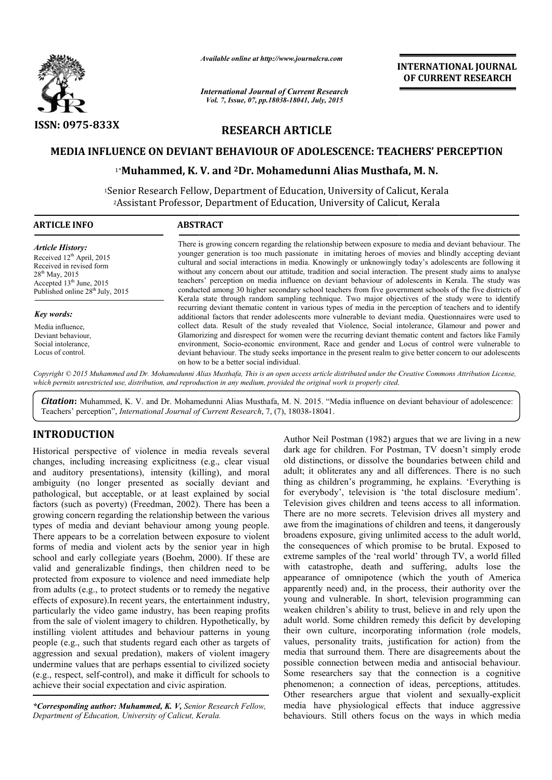

*Available online at http://www.journalcra.com*

*International Journal of Current Research Vol. 7, Issue, 07, pp.18038-18041, July, 2015*

**INTERNATIONAL INTERNATIONAL JOURNAL OF CURRENT RESEARCH** 

# **RESEARCH ARTICLE**

# MEDIA INFLUENCE ON DEVIANT BEHAVIOUR OF ADOLESCENCE: TEACHERS' PERCEPTION<br><sup>1</sup>\*Muhammed, K. V. and <sup>2</sup>Dr. Mohamedunni Alias Musthafa, M. N.

# 1\***Muhammed, K. V. and 2Dr. Mohamedunni Alias Musthafa, M. N.**

<sup>1</sup>Senior Research Fellow, Department of Education, University of Calicut, Kerala<sup>2</sup><br>Assistant Professor, Department of Education, University of Calicut, Kerala<sup>2</sup> 2Assistant Professor, Department of Education, University of Calicut, Kerala

| <b>ARTICLE INFO</b>                                                                                                                                                           | <b>ABSTRACT</b>                                                                                                                                                                                                                                                                                                                                                                                                                                                                                                                                                                                                                                                                                                                                                         |  |
|-------------------------------------------------------------------------------------------------------------------------------------------------------------------------------|-------------------------------------------------------------------------------------------------------------------------------------------------------------------------------------------------------------------------------------------------------------------------------------------------------------------------------------------------------------------------------------------------------------------------------------------------------------------------------------------------------------------------------------------------------------------------------------------------------------------------------------------------------------------------------------------------------------------------------------------------------------------------|--|
| <b>Article History:</b><br>Received $12th$ April, 2015<br>Received in revised form<br>$28^{th}$ May, 2015<br>Accepted $13th$ June, 2015<br>Published online $28th$ July, 2015 | There is growing concern regarding the relationship between exposure to media and deviant behaviour. The<br>younger generation is too much passionate in imitating heroes of movies and blindly accepting deviant<br>cultural and social interactions in media. Knowingly or unknowingly today's adolescents are following it<br>without any concern about our attitude, tradition and social interaction. The present study aims to analyse<br>teachers' perception on media influence on deviant behaviour of adolescents in Kerala. The study was<br>conducted among 30 higher secondary school teachers from five government schools of the five districts of<br>Kerala state through random sampling technique. Two major objectives of the study were to identify |  |
| Key words:                                                                                                                                                                    | recurring deviant thematic content in various types of media in the perception of teachers and to identify<br>additional factors that render adolescents more vulnerable to deviant media. Ouestionnaires were used to                                                                                                                                                                                                                                                                                                                                                                                                                                                                                                                                                  |  |
| Media influence,                                                                                                                                                              | collect data. Result of the study revealed that Violence, Social intolerance, Glamour and power and                                                                                                                                                                                                                                                                                                                                                                                                                                                                                                                                                                                                                                                                     |  |
| Deviant behaviour,                                                                                                                                                            | Glamorizing and disrespect for women were the recurring deviant thematic content and factors like Family                                                                                                                                                                                                                                                                                                                                                                                                                                                                                                                                                                                                                                                                |  |
| Social intolerance,                                                                                                                                                           | environment, Socio-economic environment, Race and gender and Locus of control were vulnerable to                                                                                                                                                                                                                                                                                                                                                                                                                                                                                                                                                                                                                                                                        |  |
| Locus of control.                                                                                                                                                             | deviant behaviour. The study seeks importance in the present realm to give better concern to our adolescents<br>on how to be a better social individual.                                                                                                                                                                                                                                                                                                                                                                                                                                                                                                                                                                                                                |  |
|                                                                                                                                                                               | Convright © 2015 Muhammed and Dr. Mohamedunni Alias Musthafa. This is an open access article distributed under the Creative Commons Attribution License.                                                                                                                                                                                                                                                                                                                                                                                                                                                                                                                                                                                                                |  |

*Copyright © 2015 Muhammed and Dr. Mohamedunni Alias Musthafa, which permits unrestricted use, distribution, and reproduction in any medium, provided the original work is properly cited. This is an open access article distributed under the Creative Commons Att Attribution License,*  distribution, and reproduction in any medium,

Citation: Muhammed, K. V. and Dr. Mohamedunni Alias Musthafa, M. N. 2015. "Media influence on deviant behaviour of adolescence: Teachers' perception", *International Journal of Current Research* , 7, (7), 18038-18041.

# **INTRODUCTION**

Historical perspective of violence in media reveals several changes, including increasing explicitness (e.g., clear visual and auditory presentations), intensity (killing), and moral ambiguity (no longer presented as socially deviant and pathological, but acceptable, or at least explained by social factors (such as poverty) (Freedman, 2002). There has been a growing concern regarding the relationship between the various types of media and deviant behaviour among young people. There appears to be a correlation between exposure to violent forms of media and violent acts by the senior year in high school and early collegiate years (Boehm, 2000). If these are valid and generalizable findings, then children need to be There appears to be a correlation between exposure to violent<br>forms of media and violent acts by the senior year in high<br>school and early collegiate years (Boehm, 2000). If these are<br>valid and generalizable findings, then from adults (e.g., to protect students or to remedy the negative effects of exposure).In recent years, the entertainment industry, particularly the video game industry, has been reaping profits from the sale of violent imagery to children. Hypothetically, by instilling violent attitudes and behaviour patterns in young people (e.g., such that students regard each other as targets of aggression and sexual predation), makers of violent imagery undermine values that are perhaps essential to civilized society  $(e.g., respectively, self-control),$  and make it difficult for schools to achieve their social expectation and civic aspiration.

*\*Corresponding author: Muhammed, K. V, Senior Research Fellow, Department of Education, University of Calicut, Kerala Kerala.*

Author Neil Postman (1982) argues that we are living in a new dark age for children. For Postman, TV doesn't simply erode old distinctions, or dissolve the boundaries between child and adult; it obliterates any and all differences. There is no such thing as children's programming, he explains. 'Everything is for everybody', television is 'the total disclosure medium'. Television gives children and teens access to all information. There are no more secrets. Television drives all mystery and awe from the imaginations of children and teens, it dangerously broadens exposure, giving unlimited ac the consequences of which promise to be brutal. Exposed to extreme samples of the 'real world' through TV, a world filled with catastrophe, death and suffering, adults lose the appearance of omnipotence (which the youth of America apparently need) and, in the process, their authority over the young and vulnerable. In short, television programming can weaken children's ability to trust, believe in and rely upon the adult world. Some children remedy this deficit by developing their own culture, incorporating information (role models, values, personality traits, justification for action) from the media that surround them. There are disagreements about the possible connection between media and antisocial behaviour. Some researchers say that the connection is a cognitive phenomenon; a connection of ideas, perceptions, attitudes. Other researchers argue that violent and sexually-explicit media have physiological effects that induce aggressive media have physiological effects that induce aggressive behaviours. Still others focus on the ways in which media hor Neil Postman (1982) argues that we are living in a new<br>c age for children. For Postman, TV doesn't simply erode<br>distinctions, or dissolve the boundaries between child and<br>t; it obliterates any and all differences. Ther are no more secrets. Television drives all mystery and<br>bm the imaginations of children and teens, it dangerously<br>ns exposure, giving unlimited access to the adult world, the consequences of which promise to be brutal. Exposed to extreme samples of the 'real world' through TV, a world filled with catastrophe, death and suffering, adults lose the appearance of omnipotence (which the youth of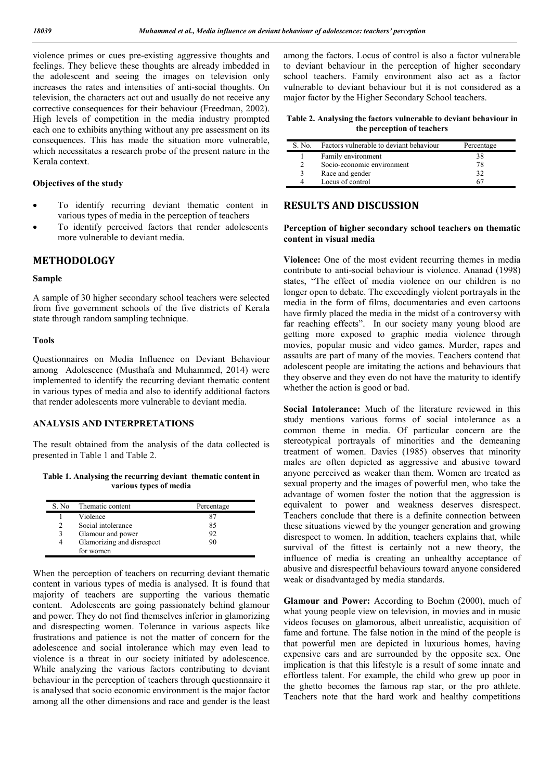violence primes or cues pre-existing aggressive thoughts and feelings. They believe these thoughts are already imbedded in the adolescent and seeing the images on television only increases the rates and intensities of anti-social thoughts. On television, the characters act out and usually do not receive any corrective consequences for their behaviour (Freedman, 2002). High levels of competition in the media industry prompted each one to exhibits anything without any pre assessment on its consequences. This has made the situation more vulnerable, which necessitates a research probe of the present nature in the Kerala context.

## **Objectives of the study**

- To identify recurring deviant thematic content in various types of media in the perception of teachers
- To identify perceived factors that render adolescents more vulnerable to deviant media.

# **METHODOLOGY**

#### **Sample**

A sample of 30 higher secondary school teachers were selected from five government schools of the five districts of Kerala state through random sampling technique.

#### **Tools**

Questionnaires on Media Influence on Deviant Behaviour among Adolescence (Musthafa and Muhammed, 2014) were implemented to identify the recurring deviant thematic content in various types of media and also to identify additional factors that render adolescents more vulnerable to deviant media.

## **ANALYSIS AND INTERPRETATIONS**

The result obtained from the analysis of the data collected is presented in Table 1 and Table 2.

**Table 1. Analysing the recurring deviant thematic content in various types of media**

| S. No | Thematic content           | Percentage |
|-------|----------------------------|------------|
|       | Violence                   | 87         |
| 2     | Social intolerance         | 85         |
| 3     | Glamour and power          | 92         |
| 4     | Glamorizing and disrespect | 90         |
|       | for women                  |            |

When the perception of teachers on recurring deviant thematic content in various types of media is analysed. It is found that majority of teachers are supporting the various thematic content. Adolescents are going passionately behind glamour and power. They do not find themselves inferior in glamorizing and disrespecting women. Tolerance in various aspects like frustrations and patience is not the matter of concern for the adolescence and social intolerance which may even lead to violence is a threat in our society initiated by adolescence. While analyzing the various factors contributing to deviant behaviour in the perception of teachers through questionnaire it is analysed that socio economic environment is the major factor among all the other dimensions and race and gender is the least

among the factors. Locus of control is also a factor vulnerable to deviant behaviour in the perception of higher secondary school teachers. Family environment also act as a factor vulnerable to deviant behaviour but it is not considered as a major factor by the Higher Secondary School teachers.

**Table 2. Analysing the factors vulnerable to deviant behaviour in the perception of teachers**

| S. No. | Factors vulnerable to deviant behaviour | Percentage |
|--------|-----------------------------------------|------------|
|        | Family environment                      | 38         |
|        | Socio-economic environment              | 78         |
|        | Race and gender                         | 32         |
|        | Locus of control                        |            |

# **RESULTS AND DISCUSSION**

### **Perception of higher secondary school teachers on thematic content in visual media**

**Violence:** One of the most evident recurring themes in media contribute to anti-social behaviour is violence. Ananad (1998) states, "The effect of media violence on our children is no longer open to debate. The exceedingly violent portrayals in the media in the form of films, documentaries and even cartoons have firmly placed the media in the midst of a controversy with far reaching effects". In our society many young blood are getting more exposed to graphic media violence through movies, popular music and video games. Murder, rapes and assaults are part of many of the movies. Teachers contend that adolescent people are imitating the actions and behaviours that they observe and they even do not have the maturity to identify whether the action is good or bad.

**Social Intolerance:** Much of the literature reviewed in this study mentions various forms of social intolerance as a common theme in media. Of particular concern are the stereotypical portrayals of minorities and the demeaning treatment of women. Davies (1985) observes that minority males are often depicted as aggressive and abusive toward anyone perceived as weaker than them. Women are treated as sexual property and the images of powerful men, who take the advantage of women foster the notion that the aggression is equivalent to power and weakness deserves disrespect. Teachers conclude that there is a definite connection between these situations viewed by the younger generation and growing disrespect to women. In addition, teachers explains that, while survival of the fittest is certainly not a new theory, the influence of media is creating an unhealthy acceptance of abusive and disrespectful behaviours toward anyone considered weak or disadvantaged by media standards.

**Glamour and Power:** According to Boehm (2000), much of what young people view on television, in movies and in music videos focuses on glamorous, albeit unrealistic, acquisition of fame and fortune. The false notion in the mind of the people is that powerful men are depicted in luxurious homes, having expensive cars and are surrounded by the opposite sex. One implication is that this lifestyle is a result of some innate and effortless talent. For example, the child who grew up poor in the ghetto becomes the famous rap star, or the pro athlete. Teachers note that the hard work and healthy competitions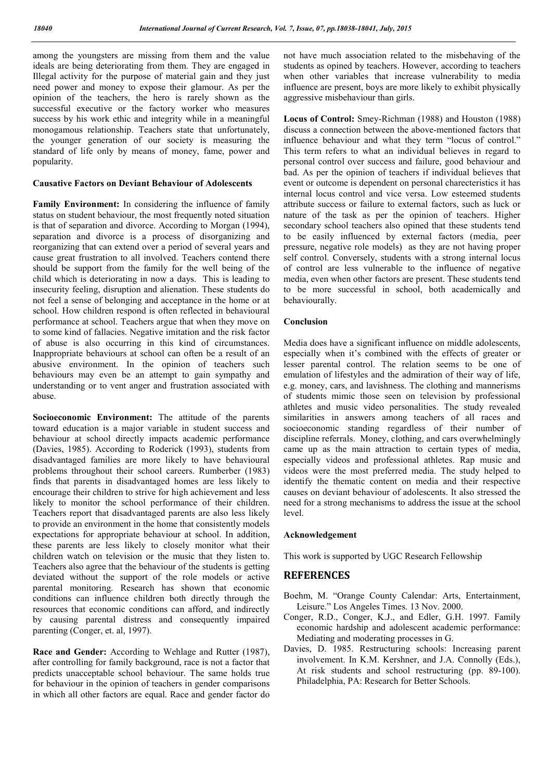among the youngsters are missing from them and the value ideals are being deteriorating from them. They are engaged in Illegal activity for the purpose of material gain and they just need power and money to expose their glamour. As per the opinion of the teachers, the hero is rarely shown as the successful executive or the factory worker who measures success by his work ethic and integrity while in a meaningful monogamous relationship. Teachers state that unfortunately, the younger generation of our society is measuring the standard of life only by means of money, fame, power and popularity.

#### **Causative Factors on Deviant Behaviour of Adolescents**

**Family Environment:** In considering the influence of family status on student behaviour, the most frequently noted situation is that of separation and divorce. According to Morgan (1994), separation and divorce is a process of disorganizing and reorganizing that can extend over a period of several years and cause great frustration to all involved. Teachers contend there should be support from the family for the well being of the child which is deteriorating in now a days. This is leading to insecurity feeling, disruption and alienation. These students do not feel a sense of belonging and acceptance in the home or at school. How children respond is often reflected in behavioural performance at school. Teachers argue that when they move on to some kind of fallacies. Negative imitation and the risk factor of abuse is also occurring in this kind of circumstances. Inappropriate behaviours at school can often be a result of an abusive environment. In the opinion of teachers such behaviours may even be an attempt to gain sympathy and understanding or to vent anger and frustration associated with abuse.

**Socioeconomic Environment:** The attitude of the parents toward education is a major variable in student success and behaviour at school directly impacts academic performance (Davies, 1985). According to Roderick (1993), students from disadvantaged families are more likely to have behavioural problems throughout their school careers. Rumberber (1983) finds that parents in disadvantaged homes are less likely to encourage their children to strive for high achievement and less likely to monitor the school performance of their children. Teachers report that disadvantaged parents are also less likely to provide an environment in the home that consistently models expectations for appropriate behaviour at school. In addition, these parents are less likely to closely monitor what their children watch on television or the music that they listen to. Teachers also agree that the behaviour of the students is getting deviated without the support of the role models or active parental monitoring. Research has shown that economic conditions can influence children both directly through the resources that economic conditions can afford, and indirectly by causing parental distress and consequently impaired parenting (Conger, et. al, 1997).

**Race and Gender:** According to Wehlage and Rutter (1987), after controlling for family background, race is not a factor that predicts unacceptable school behaviour. The same holds true for behaviour in the opinion of teachers in gender comparisons in which all other factors are equal. Race and gender factor do not have much association related to the misbehaving of the students as opined by teachers. However, according to teachers when other variables that increase vulnerability to media influence are present, boys are more likely to exhibit physically aggressive misbehaviour than girls.

**Locus of Control:** Smey-Richman (1988) and Houston (1988) discuss a connection between the above-mentioned factors that influence behaviour and what they term "locus of control." This term refers to what an individual believes in regard to personal control over success and failure, good behaviour and bad. As per the opinion of teachers if individual believes that event or outcome is dependent on personal charecteristics it has internal locus control and vice versa. Low esteemed students attribute success or failure to external factors, such as luck or nature of the task as per the opinion of teachers. Higher secondary school teachers also opined that these students tend to be easily influenced by external factors (media, peer pressure, negative role models) as they are not having proper self control. Conversely, students with a strong internal locus of control are less vulnerable to the influence of negative media, even when other factors are present. These students tend to be more successful in school, both academically and behaviourally.

#### **Conclusion**

Media does have a significant influence on middle adolescents, especially when it's combined with the effects of greater or lesser parental control. The relation seems to be one of emulation of lifestyles and the admiration of their way of life, e.g. money, cars, and lavishness. The clothing and mannerisms of students mimic those seen on television by professional athletes and music video personalities. The study revealed similarities in answers among teachers of all races and socioeconomic standing regardless of their number of discipline referrals. Money, clothing, and cars overwhelmingly came up as the main attraction to certain types of media, especially videos and professional athletes. Rap music and videos were the most preferred media. The study helped to identify the thematic content on media and their respective causes on deviant behaviour of adolescents. It also stressed the need for a strong mechanisms to address the issue at the school level.

#### **Acknowledgement**

This work is supported by UGC Research Fellowship

# **REFERENCES**

- Boehm, M. "Orange County Calendar: Arts, Entertainment, Leisure." Los Angeles Times. 13 Nov. 2000.
- Conger, R.D., Conger, K.J., and Edler, G.H. 1997. Family economic hardship and adolescent academic performance: Mediating and moderating processes in G.
- Davies, D. 1985. Restructuring schools: Increasing parent involvement. In K.M. Kershner, and J.A. Connolly (Eds.), At risk students and school restructuring (pp. 89-100). Philadelphia, PA: Research for Better Schools.